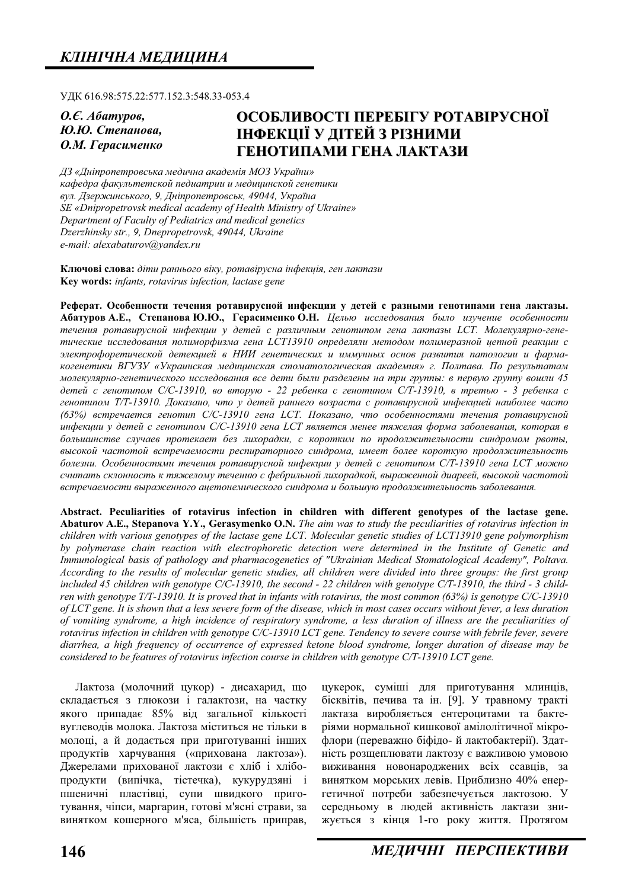ɍȾɄ 616.98:575.22:577.152.3:548.33-053.4

*Ɉ.ȯ. Ⱥɛɚɬɭɪɨɜ,*  $HO$ *.Ю*. *Степанова*, **О.М. Герасименко** 

# **ОСОБЛИВОСТІ ПЕРЕБІГУ РОТАВІРУСНОЇ ЛНФЕКШЇ У ЛІТЕЙ З РІЗНИМИ** ГЕНОТИПАМИ ГЕНА ЛАКТАЗИ

 $\Box$ 3 «Дніпропетровська медична академія МОЗ України» кафедра факультетской педиатрии и медицинской генетики  $g_{VJ}$ . Дзержинського, 9, Дніпропетровськ, 49044, Україна *SE «Dnipropetrovsk medical academy of Health Ministry of Ukraine» Department of Faculty of Pediatrics and medical genetics Dzerzhinsky str., 9, Dnepropetrovsk, 49044, Ukraine e-mail: alexabaturov@yandex.ru* 

Ключові слова: діти раннього віку, ротавірусна інфекція, ген лактази **Key words:** *infants, rotavirus infection, lactase gene* 

Реферат. Особенности течения ротавирусной инфекции у детей с разными генотипами гена лактазы. Абатуров А.Е., Степанова Ю.Ю., Герасименко О.Н. Целью исследования было изучение особенности  $m$ ечения ротавирусной инфекции у детей с различным генотипом гена лактазы LCT. Молекулярно-генетические исследования полиморфизма гена LCT13910 определяли методом полимеразной иепной реакиии с электрофоретической детекцией в НИИ генетических и иммунных основ развития патологии и фармакогенетики BГУЗУ «Украинская медицинская стоматологическая академия» г. Полтава. По результатам молекулярно-генетического исследования все дети были разделены на три группы: в первую группу вошли 45  $\delta$ етей с генотипом С/С-13910, во вторую - 22 ребенка с генотипом С/Т-13910, в третью - 3 ребенка с генотипом Т/Т-13910. Доказано, что у детей раннего возраста с ротавирусной инфекцией наиболее часто  $(63%)$  встречается генотип С/С-13910 гена LCT. Показано, что особенностями течения ротавирусной  $u$ нфекции у детей с генотипом С/С-13910 гена LCT является менее тяжелая форма заболевания, которая в большинстве случаев протекает без лихорадки, с коротким по продолжительности синдромом рвоты, высокой частотой встречаемости респираторного синдрома, имеет более короткую продолжительность **болезни. Особенностями течения ротавирусной инфекции у детей с генотипом С/Т-13910 гена LCT можно** считать склонность к тяжелому течению с фебрильной лихорадкой, выраженной диареей, высокой частотой встречаемости выраженного ацетонемического синдрома и большую продолжительность заболевания.

**Abstract. Peculiarities of rotavirus infection in children with different genotypes of the lactase gene. Abaturov A.E., Stepanova Y.Y., Gerasymenko O.N.** *The aim was to study the peculiarities of rotavirus infection in children with various genotypes of the lactase gene LCT. Molecular genetic studies of LCT13910 gene polymorphism by polymerase chain reaction with electrophoretic detection were determined in the Institute of Genetic and Immunological basis of pathology and pharmacogenetics of "Ukrainian Medical Stomatological Academy", Poltava. According to the results of molecular genetic studies, all children were divided into three groups: the first group included 45 children with genotype C/C-13910, the second - 22 children with genotype C/T-13910, the third - 3 children with genotype T/T-13910. It is proved that in infants with rotavirus, the most common (63%) is genotype C/C-13910 of LCT gene. It is shown that a less severe form of the disease, which in most cases occurs without fever, a less duration of vomiting syndrome, a high incidence of respiratory syndrome, a less duration of illness are the peculiarities of rotavirus infection in children with genotype C/C-13910 LCT gene. Tendency to severe course with febrile fever, severe diarrhea, a high frequency of occurrence of expressed ketone blood syndrome, longer duration of disease may be considered to be features of rotavirus infection course in children with genotype C/T-13910 LCT gene.* 

Лактоза (молочний цукор) - дисахарид, що складається з глюкози і галактози, на частку якого припадає 85% від загальної кількості вуглеводів молока. Лактоза міститься не тільки в молоці, а й додається при приготуванні інших продуктів харчування («прихована лактоза»). Джерелами прихованої лактози є хліб і хлібопродукти (випічка, тістечка), кукурудзяні і пшеничні пластівці, супи швидкого приготування, чіпси, маргарин, готові м'ясні страви, за винятком кошерного м'яса, більшість приправ, цукерок, суміші для приготування млинців, бісквітів, печива та ін. [9]. У травному тракті лактаза виробляється ентероцитами та бактеріями нормальної кишкової амілолітичної мікрофлори (переважно біфідо-й лактобактерії). Здатність розщеплювати лактозу є важливою умовою виживання новонароджених всіх ссавців, за винятком морських левів. Приблизно 40% енергетичної потреби забезпечується лактозою. У середньому в людей активність лактази знижується з кінця 1-го року життя. Протягом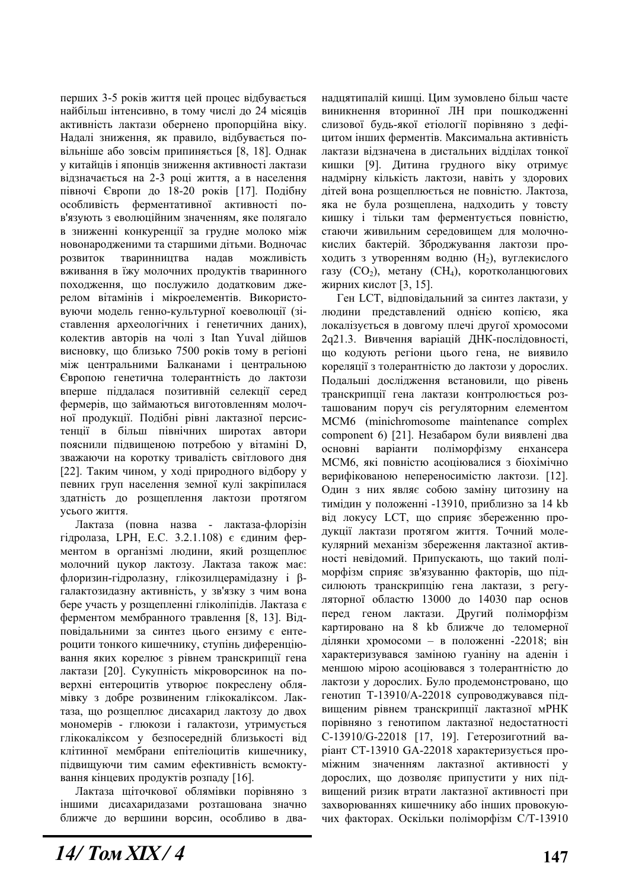перших 3-5 років життя цей процес вілбувається найбільш інтенсивно, в тому числі до 24 місяців активність лактази обернено пропорційна віку. Надалі зниження, як правило, відбувається повільніше або зовсім припиняється [8, 18]. Однак у китайців і японців зниження активності лактази відзначається на 2-3 році життя, а в населення півночі Європи до 18-20 років [17]. Подібну особливість ферментативної активності пов'язують з еволюційним значенням, яке полягало в зниженні конкуренції за грудне молоко між новонародженими та старшими дітьми. Водночас розвиток тваринництва надав можливість вживання в їжу молочних продуктів тваринного походження, що послужило додатковим джерелом вітамінів і мікроелементів. Використовуючи модель генно-культурної коеволюції (зіставлення археологічних і генетичних даних), колектив авторів на чолі з Itan Yuval дійшов висновку, що близько 7500 років тому в регіоні між центральними Балканами і центральною Свропою генетична толерантність до лактози вперше піддалася позитивній селекції серед фермерів, що займаються виготовленням молочної продукції. Подібні рівні лактазної персистенції в більш північних широтах автори пояснили підвищеною потребою у вітаміні D, зважаючи на коротку тривалість світлового дня [22]. Таким чином, у ході природного відбору у певних груп населення земної кулі закріпилася здатність до розщеплення лактози протягом усього життя.

Лактаза (повна назва - лактаза-флорізін гідролаза, LPH, Е.С. 3.2.1.108) є єдиним ферментом в організмі людини, який розщеплює молочний цукор лактозу. Лактаза також має: флоризин-гідролазну, глікозилцерамідазну і βгалактозидазну активність, у зв'язку з чим вона бере участь у розщепленні гліколіпідів. Лактаза є ферментом мембранного травлення [8, 13]. Відповідальними за синтез цього ензиму є ентероцити тонкого кишечнику, ступінь диференціювання яких корелює з рівнем транскрипції гена лактази [20]. Сукупність мікроворсинок на поверхні ентероцитів утворює покреслену облямівку з добре розвиненим глікокаліксом. Лактаза, що розщеплює дисахарид лактозу до двох мономерів - глюкози і галактози, утримується глікокаліксом у безпосередній близькості від клітинної мембрани епітеліоцитів кишечнику, підвищуючи тим самим ефективність всмоктування кінцевих продуктів розпаду [16].

Лактаза щіточкової облямівки порівняно з іншими дисахаридазами розташована значно ближче до вершини ворсин, особливо в дваналиятипалій кишиі. Шим зумовлено більш часте виникнення вторинної ЛН при пошкодженні слизової будь-якої етіології порівняно з дефіцитом інших ферментів. Максимальна активність лактази відзначена в дистальних відділах тонкої кишки [9]. Дитина грудного віку отримує надмірну кількість лактози, навіть у здорових дітей вона розшеплюється не повністю. Лактоза. яка не була розщеплена, надходить у товсту кишку і тільки там ферментується повністю, стаючи живильним середовищем для молочнокислих бактерій. Зброджування лактози проходить з утворенням водню  $(H_2)$ , вуглекислого газу  $(CO_2)$ , метану  $(CH_4)$ , коротколанцюгових жирних кислот [3, 15].

Ген LCT, відповідальний за синтез лактази, у людини представлений однією копією, яка локалізується в довгому плечі другої хромосоми 2q21.3. Вивчення варіацій ДНК-послідовності, що кодують регіони цього гена, не виявило кореляції з толерантністю до лактози у дорослих. Подальші дослідження встановили, що рівень транскрипції гена лактази контролюється розташованим поруч cis регуляторним елементом MCM6 (minichromosome maintenance complex component 6) [21]. Незабаром були виявлені два основні варіанти поліморфізму енхансера МСМ6, які повністю асоціювалися з біохімічно верифікованою непереносимістю лактози. [12]. Один з них являє собою заміну цитозину на тимідин у положенні -13910, приблизно за 14 kb від локусу LCT, що сприяє збереженню продукції лактази протягом життя. Точний молекулярний механізм збереження лактазної активності невідомий. Припускають, що такий поліморфізм сприяє зв'язуванню факторів, що підсилюють транскрипцію гена лактази, з регуляторної областю 13000 до 14030 пар основ перед геном лактази. Другий поліморфізм картировано на 8 kb ближче до теломерної ділянки хромосоми - в положенні -22018; він характеризувався заміною гуаніну на аленін і меншою мірою асоціювався з толерантністю до лактози у дорослих. Було продемонстровано, що генотип Т-13910/А-22018 супроводжувався підвищеним рівнем транскрипції лактазної мРНК порівняно з генотипом лактазної недостатності C-13910/G-22018 [17, 19]. Гетерозиготний варіант СТ-13910 GA-22018 характеризується проміжним значенням лактазної активності у дорослих, що дозволяє припустити у них підвищений ризик втрати лактазної активності при захворюваннях кишечнику або інших провокуючих факторах. Оскільки поліморфізм С/Т-13910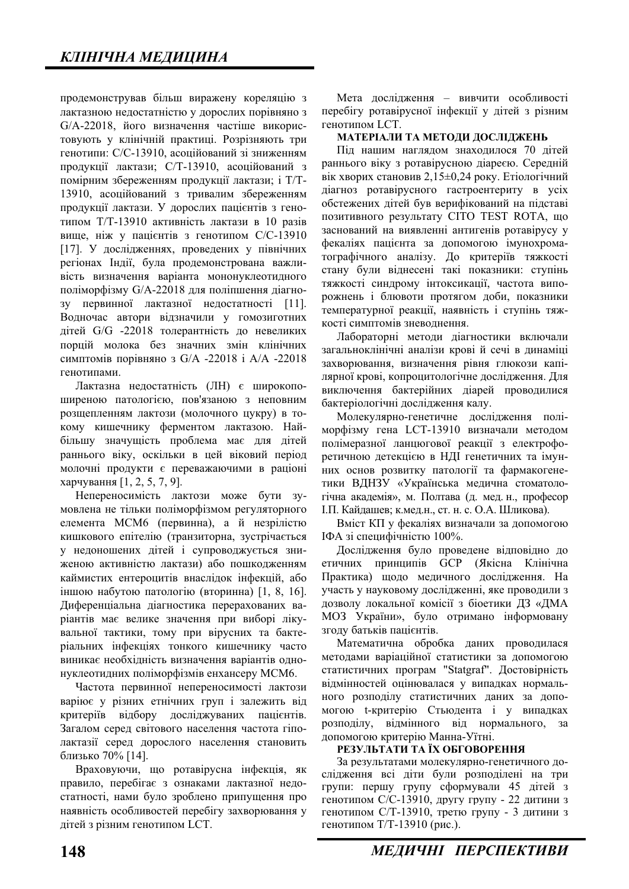продемонстрував більш виражену кореляцію з лактазною недостатністю у дорослих порівняно з G/A-22018, його визначення частіше використовують у клінічній практиці. Розрізняють три генотипи: С/С-13910, асоційований зі зниженням продукції лактази; С/Т-13910, асоційований з помірним збереженням продукції лактази; і Т/Т-13910, асоційований з тривалим збереженням продукції лактази. У дорослих пацієнтів з генотипом Т/Т-13910 активність лактази в 10 разів вище, ніж у пацієнтів з генотипом С/С-13910 [17]. У дослідженнях, проведених у північних регіонах Індії, була продемонстрована важливість визначення варіанта мононуклеотидного поліморфізму G/A-22018 для поліпшення діагнозу первинної лактазної недостатності [11]. Водночас автори відзначили у гомозиготних дітей G/G -22018 толерантність до невеликих порцій молока без значних змін клінічних симптомів порівняно з G/A -22018 і А/А -22018 генотипами.

Лактазна недостатність (ЛН) є широкопоширеною патологією, пов'язаною з неповним розщепленням лактози (молочного цукру) в токому кишечнику ферментом лактазою. Найбільшу значущість проблема має для дітей раннього віку, оскільки в цей віковий період молочні продукти є переважаючими в раціоні харчування [1, 2, 5, 7, 9].

Непереносимість лактози може бути зумовлена не тільки поліморфізмом регуляторного елемента МСМ6 (первинна), а й незрілістю кишкового епітелію (транзиторна, зустрічається у недоношених дітей і супроводжується зниженою активністю лактази) або пошкодженням каймистих ентероцитів внаслілок інфекцій, або іншою набутою патологію (вторинна) [1, 8, 16]. Диференціальна діагностика перерахованих варіантів має велике значення при виборі лікувальної тактики, тому при вірусних та бактеріальних інфекціях тонкого кишечнику часто виникає необхідність визначення варіантів однонуклеотидних поліморфізмів енхансеру МСМ6.

Частота первинної непереносимості лактози варіює у різних етнічних груп і залежить від критеріїв відбору досліджуваних пацієнтів. Загалом серед світового населення частота гіполактазії серед дорослого населення становить близько 70% [14].

Враховуючи, що ротавірусна інфекція, як правило, перебігає з ознаками лактазної недостатності, нами було зроблено припущення про наявність особливостей перебігу захворювання у дітей з різним генотипом LCT.

Мета лослілження – вивчити особливості перебігу ротавірусної інфекції у дітей з різним генотипом LCT.

### МАТЕРІАЛИ ТА МЕТОДИ ДОСЛІДЖЕНЬ

Під нашим наглядом знаходилося 70 дітей раннього віку з ротавірусною діареєю. Середній вік хворих становив 2,15 $\pm$ 0,24 року. Етіологічний діагноз ротавірусного гастроентериту в усіх обстежених дітей був верифікований на підставі позитивного результату CITO TEST ROTA, що заснований на виявленні антигенів ротавірусу у фекаліях пацієнта за допомогою імунохроматографічного аналізу. До критеріїв тяжкості стану були віднесені такі показники: ступінь тяжкості синдрому інтоксикації, частота випорожнень і блювоти протягом доби, показники температурної реакції, наявність і ступінь тяжкості симптомів зневоднення.

Лабораторні методи діагностики включали загальноклінічні аналізи крові й сечі в динаміці захворювання, визначення рівня глюкози капілярної крові, копроцитологічне лослідження. Для виключення бактерійних діарей проводилися бактеріологічні дослідження калу.

Молекулярно-генетичне дослідження поліморфізму гена LCT-13910 визначали методом полімеразної ланцюгової реакції з електрофоретичною детекцією в НДІ генетичних та імунних основ розвитку патології та фармакогенетики ВДНЗУ «Українська медична стоматологічна академія», м. Полтава (д. мед. н., професор І.П. Кайдашев; к.мед.н., ст. н. с. О.А. Шликова).

Вміст КП у фекаліях визначали за допомогою IФА зі специфічністю 100%.

Дослідження було проведене відповідно до етичних принципів GCP (Якісна Клінічна Практика) щодо медичного дослідження. На участь у науковому дослідженні, яке проводили з дозволу локальної комісії з біоетики ДЗ «ДМА МОЗ України», було отримано інформовану згоду батьків пацієнтів.

Математична обробка даних проводилася методами варіаційної статистики за допомогою статистичних програм "Statgraf". Достовірність відмінностей оцінювалася у випадках нормального розподілу статистичних даних за допомогою t-критерію Стьюдента і у випадках розполілу, вілмінного віл нормального, допомогою критерію Манна-Уїтні.

### РЕЗУЛЬТАТИ ТА ЇХ ОБГОВОРЕННЯ

За результатами молекулярно-генетичного дослідження всі діти були розподілені на три групи: першу групу сформували 45 дітей з генотипом С/С-13910, другу групу - 22 дитини з генотипом С/Т-13910, третю групу - 3 дитини з генотипом Т/Т-13910 (рис.).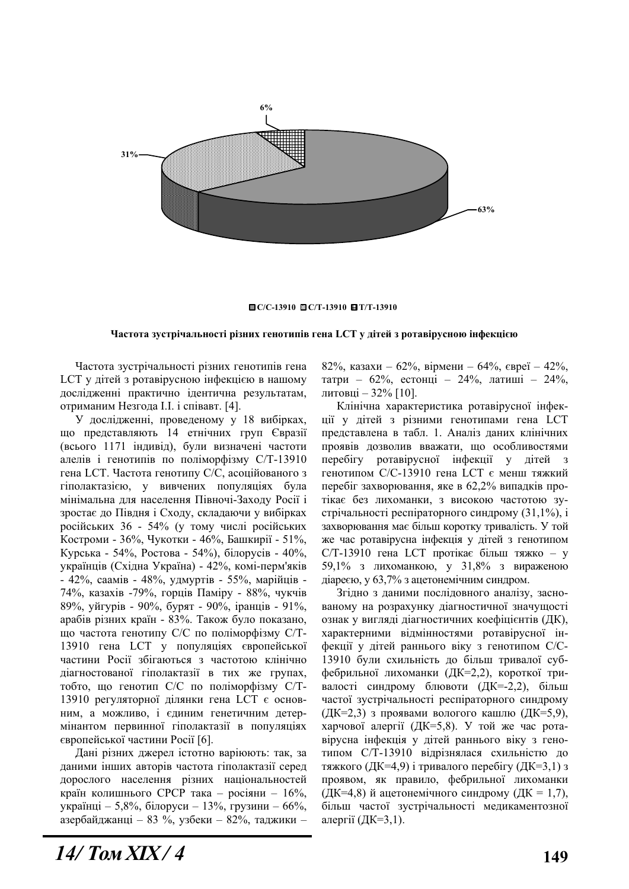

#### **ɋ/ɋ-13910 ɋ/Ɍ-13910 Ɍ/Ɍ-13910**

#### Частота зустрічальності різних генотипів гена LCT у дітей з ротавірусною інфекцією

Частота зустрічальності різних генотипів гена LCT у дітей з ротавірусною інфекцією в нашому дослідженні практично ідентична результатам, отриманим Незгода I.I. і співавт. [4].

У дослідженні, проведеному у 18 вибірках, що представляють 14 етнічних груп Євразії (всього 1171 індивід), були визначені частоти алелів і генотипів по поліморфізму С/Т-13910 гена LCT. Частота генотипу С/С, асоційованого з гіполактазією, у вивчених популяціях була мінімальна для населення Півночі-Заходу Росії і зростає до Півдня і Сходу, складаючи у вибірках російських 36 - 54% (у тому числі російських Костроми - 36%, Чукотки - 46%, Башкирії - 51%, Курська - 54%, Ростова - 54%), білорусів - 40%, українців (Східна Україна) - 42%, комі-перм'яків - 42%, саамів - 48%, удмуртів - 55%, марійців -74%, казахів -79%, горців Паміру - 88%, чукчів 89%, уйгурів - 90%, бурят - 90%, іранців - 91%, арабів різних країн - 83%. Також було показано, що частота генотипу С/С по поліморфізму С/Т-13910 гена LCT у популяціях європейської частини Росії збігаються з частотою клінічно діагностованої гіполактазії в тих же групах, тобто, що генотип С/С по поліморфізму С/Т-13910 регуляторної ділянки гена LCT є основним, а можливо, і єдиним генетичним детермінантом первинної гіполактазії в популяціях європейської частини Росії [6].

Дані різних джерел істотно варіюють: так, за даними інших авторів частота гіполактазії серед дорослого населення різних національностей країн колишнього СРСР така – росіяни – 16%, українці – 5,8%, білоруси – 13%, грузини – 66%, азербайджанці – 83 %, узбеки – 82%, таджики – 82%, казахи – 62%, вірмени – 64%, євреї – 42%, татри – 62%, естонці – 24%, латиші – 24%, литовці – 32% [10].

Клінічна характеристика ротавірусної інфекції у дітей з різними генотипами гена LCT представлена в табл. 1. Аналіз даних клінічних проявів дозволив вважати, що особливостями перебігу ротавірусної інфекції у дітей генотипом С/С-13910 гена LCT є менш тяжкий перебіг захворювання, яке в 62,2% випадків протікає без лихоманки, з високою частотою зустрічальності респіраторного синдрому (31,1%), і захворювання має більш коротку тривалість. У той же час ротавірусна інфекція у дітей з генотипом  $C/T-13910$  гена LCT протікає більш тяжко – у 59,1% з лихоманкою, у 31,8% з вираженою діареєю, у 63,7% з ацетонемічним синдром.

Згідно з даними послідовного аналізу, заснованому на розрахунку діагностичної значущості ознак у вигляді діагностичних коефіцієнтів (ДК), характерними відмінностями ротавірусної інфекції у дітей раннього віку з генотипом С/С-13910 були схильність до більш тривалої субфебрильної лихоманки (ДК=2,2), короткої тривалості синдрому блювоти (ДК=-2,2), більш частої зустрічальності респіраторного синдрому (ДК=2,3) з проявами вологого кашлю (ДК=5,9), харчової алергії (ДК=5,8). У той же час ротавірусна інфекція у дітей раннього віку з генотипом С/Т-13910 відрізнялася схильністю до тяжкого (ДК=4,9) і тривалого перебігу (ДК=3,1) з проявом, як правило, фебрильної лихоманки (ДК=4,8) й ацетонемічного синдрому (ДК = 1,7), більш частої зустрічальності медикаментозної алергії (ДК=3,1).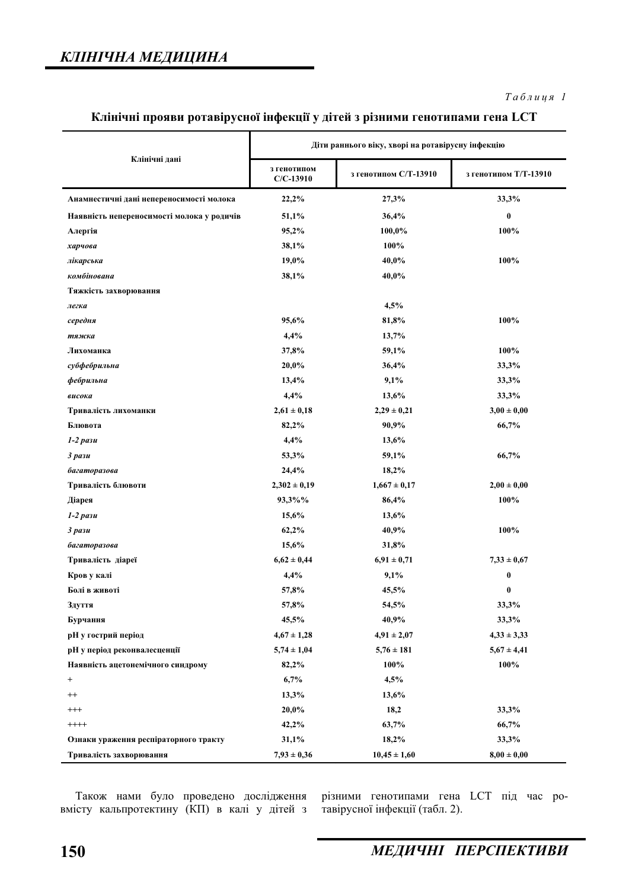### $Ta6\n$ <sub>µ</sub>\n<sub>µ</sub>\n<sub>q</sub>\n<sub>l</sub></sub>

# Клінічні прояви ротавірусної інфекції у дітей з різними генотипами гена LCT

|                                            | Діти раннього віку, хворі на ротавірусну інфекцію |                       |                       |
|--------------------------------------------|---------------------------------------------------|-----------------------|-----------------------|
| Клінічні дані                              | з генотипом<br>$C/C-13910$                        | з генотипом С/Т-13910 | з генотипом Т/Т-13910 |
| Анамнестичні дані непереносимості молока   | 22,2%                                             | 27,3%                 | 33,3%                 |
| Наявність непереносимості молока у родичів | 51,1%                                             | 36,4%                 | $\pmb{0}$             |
| Алергія                                    | 95,2%                                             | 100,0%                | 100%                  |
| харчова                                    | 38,1%                                             | 100%                  |                       |
| лікарська                                  | 19,0%                                             | 40,0%                 | 100%                  |
| комбінована                                | 38,1%                                             | 40,0%                 |                       |
| Тяжкість захворювання                      |                                                   |                       |                       |
| легка                                      |                                                   | 4,5%                  |                       |
| середня                                    | 95,6%                                             | 81,8%                 | 100%                  |
| тяжка                                      | 4,4%                                              | 13,7%                 |                       |
| Лихоманка                                  | 37,8%                                             | 59,1%                 | 100%                  |
| субфебрильна                               | 20,0%                                             | 36,4%                 | 33,3%                 |
| фебрильна                                  | 13,4%                                             | 9,1%                  | 33,3%                 |
| висока                                     | 4,4%                                              | 13,6%                 | 33,3%                 |
| Тривалість лихоманки                       | $2,61 \pm 0,18$                                   | $2,29 \pm 0,21$       | $3,00 \pm 0,00$       |
| Блювота                                    | 82,2%                                             | 90,9%                 | 66,7%                 |
| $1-2$ pa $3u$                              | 4,4%                                              | 13,6%                 |                       |
| $3$ pa $3u$                                | 53,3%                                             | 59,1%                 | 66,7%                 |
| багаторазова                               | 24,4%                                             | 18,2%                 |                       |
| Тривалість блювоти                         | $2,302 \pm 0,19$                                  | $1,667 \pm 0,17$      | $2,00 \pm 0,00$       |
| Діарея                                     | 93,3%%                                            | 86,4%                 | 100%                  |
| $1-2$ pa $3u$                              | 15,6%                                             | 13,6%                 |                       |
| $3$ pa $3u$                                | 62,2%                                             | 40,9%                 | 100%                  |
| багаторазова                               | 15,6%                                             | 31,8%                 |                       |
| Тривалість діареї                          | $6,62 \pm 0,44$                                   | $6,91 \pm 0,71$       | $7,33 \pm 0,67$       |
| Кров у калі                                | 4,4%                                              | 9,1%                  | 0                     |
| Болі в животі                              | 57,8%                                             | 45,5%                 | $\bf{0}$              |
| Здуття                                     | 57,8%                                             | 54,5%                 | 33,3%                 |
| Бурчання                                   | 45,5%                                             | 40,9%                 | 33,3%                 |
| рН у гострий період                        | $4,67 \pm 1,28$                                   | $4,91 \pm 2,07$       | $4,33 \pm 3,33$       |
| рН у період реконвалесценції               | $5,74 \pm 1,04$                                   | $5,76 \pm 181$        | $5,67 \pm 4,41$       |
| Наявність ацетонемічного синдрому          | 82,2%                                             | 100%                  | 100%                  |
| $^{+}$                                     | 6,7%                                              | 4,5%                  |                       |
| $^{++}$                                    | 13,3%                                             | 13,6%                 |                       |
| $^{+++}$                                   | 20,0%                                             | 18,2                  | 33,3%                 |
| $++++$                                     | 42,2%                                             | 63,7%                 | 66,7%                 |
| Ознаки ураження респіраторного тракту      | 31,1%                                             | 18,2%                 | 33,3%                 |
| Тривалість захворювання                    | $7,93 \pm 0,36$                                   | $10,45 \pm 1,60$      | $8,00 \pm 0,00$       |

Також нами було проведено дослідження вмісту кальпротектину (КП) в калі у дітей з

різними генотипами гена LCT під час ротавірусної інфекції (табл. 2).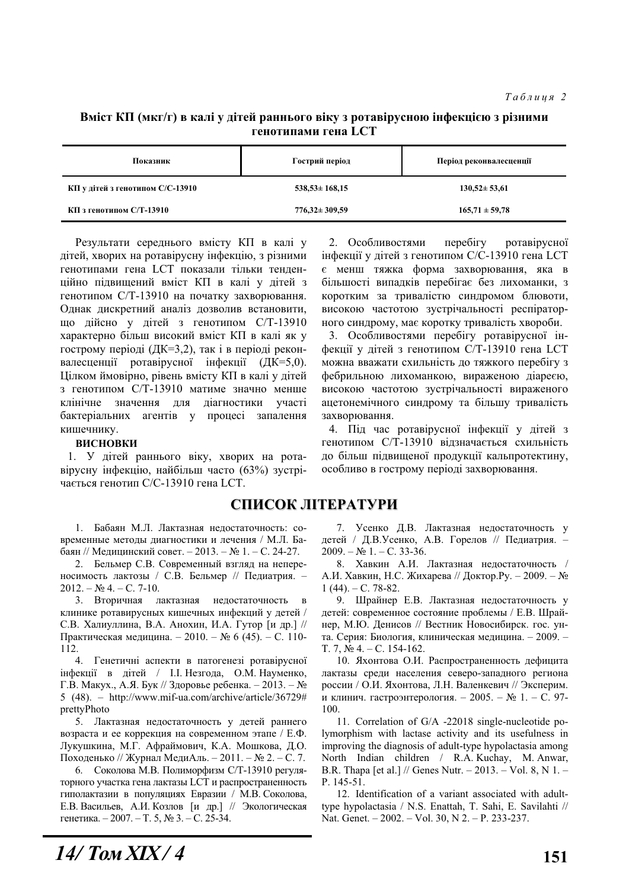### **Вміст КП** (мкг/г) в калі у дітей раннього віку з ротавірусною інфекцією з різними Генотипами гена LCT

| Показник                         | Гострий період      | Період реконвалесценції |  |
|----------------------------------|---------------------|-------------------------|--|
| КП у дітей з генотипом С/С-13910 | $538,53 \pm 168,15$ | $130,52 \pm 53,61$      |  |
| КП з генотипом С/Т-13910         | $776,32 \pm 309,59$ | $165,71 \pm 59,78$      |  |

Результати середнього вмісту КП в калі у дітей, хворих на ротавірусну інфекцію, з різними генотипами гена LCT показали тільки тенденційно підвищений вміст КП в калі у дітей з генотипом С/Т-13910 на початку захворювання. Однак дискретний аналіз дозволив встановити, що дійсно у дітей з генотипом С/Т-13910 характерно більш високий вміст КП в калі як у гострому періоді (ДК=3,2), так і в періоді реконвалесценції ротавірусної інфекції (ДК=5,0). Цілком ймовірно, рівень вмісту КП в калі у дітей з генотипом С/Т-13910 матиме значно менше клінічне значення для діагностики участі бактеріальних агентів у процесі запалення кишечнику.

### **ВИСНОВКИ**

1. У дітей раннього віку, хворих на ротавірусну інфекцію, найбільш часто (63%) зустрічається генотип С/С-13910 гена LCT.

## СПИСОК ЛІТЕРАТУРИ

1. Бабаян М.Л. Лактазная нелостаточность: современные методы диагностики и лечения / М.Л. Бабаян // Мелицинский совет. – 2013. – № 1. – С. 24-27.

2. Бельмер С.В. Современный взгляд на непереносимость лактозы / С.В. Бельмер // Педиатрия. - $2012. - N_2$  4. - C. 7-10.

3. Вторичная лактазная недостаточность клинике ротавирусных кишечных инфекций у детей / С.В. Халиуллина, В.А. Анохин, И.А. Гутор [и др.] // Практическая медицина. – 2010. – № 6 (45). – С. 110-112.

4. Генетичні аспекти в патогенезі ротавірусної iнфекцiї в дiтей / I.I. Незгода, О.М. Науменко, Г.В. Макух., А.Я. Бук // Здоровье ребенка. – 2013. –  $N_2$ 5 (48). – http://www.mif-ua.com/archive/article/36729# prettyPhoto

5. Лактазная недостаточность у детей раннего возраста и ее коррекция на современном этапе / Е.Ф. Лукушкина, М.Г. Афраймович, К.А. Мошкова, Д.О. Походенько // Журнал МедиАль. – 2011. – № 2. – С. 7.

6. Соколова М.В. Полиморфизм С/Т-13910 регуляторного участка гена лактазы LCT и распространенность гиполактазии в популяциях Евразии / М.В. Соколова, Е.В. Васильев, А.И. Козлов [и др.] // Экологическая генетика. – 2007. – Т. 5,  $\mathbb{N}^{\circ}$ 3. – С. 25-34.

2. Особливостями перебігу ротавірусної інфекції у дітей з генотипом С/С-13910 гена LCT € менш тяжка форма захворювання, яка в більшості випадків перебігає без лихоманки, з коротким за тривалістю синдромом блювоти, високою частотою зустрічальності респіраторного синдрому, має коротку тривалість хвороби.

3. Особливостями перебігу ротавірусної інфекції у дітей з генотипом С/Т-13910 гена LCT можна вважати схильність до тяжкого перебігу з фебрильною лихоманкою, вираженою діареєю, високою частотою зустрічальності вираженого ацетонемічного синдрому та більшу тривалість захворювання.

4. Під час ротавірусної інфекції у дітей з генотипом С/Т-13910 відзначається схильність до більш підвищеної продукції кальпротектину, особливо в гострому періоді захворювання.

7. Усенко Д.В. Лактазная недостаточность у детей / Д.В.Усенко, А.В. Горелов // Педиатрия. –  $2009. - N_2 1. - C. 33-36.$ 

8. Хавкин А.И. Лактазная недостаточность / А.И. Хавкин, Н.С. Жихарева // Доктор.Ру. – 2009. – №  $1(44)$ . – C. 78-82.

9. Шрайнер Е.В. Лактазная недостаточность у детей: современное состояние проблемы / Е.В. Шрайнер, М.Ю. Денисов // Вестник Новосибирск. гос. унта. Серия: Биология, клиническая медицина. – 2009. –  $T. 7, N<sub>2</sub> 4. - C. 154-162.$ 

10. Яхонтова О.И. Распространенность дефицита лактазы среди населения северо-западного региона россии / О.И. Яхонтова, Л.Н. Валенкевич // Эксперим. и клинич. гастроэнтерология. - 2005. - № 1. - С. 97-100.

11. Correlation of G/A -22018 single-nucleotide polymorphism with lactase activity and its usefulness in improving the diagnosis of adult-type hypolactasia among North Indian children / R.A. Kuchay, M. Anwar, B.R. Thapa [et al.] // Genes Nutr. – 2013. – Vol. 8, N 1. – P. 145-51.

12. Identification of a variant associated with adulttype hypolactasia / N.S. Enattah, T. Sahi, E. Savilahti // Nat. Genet. – 2002. – Vol. 30, N 2. – P. 233-237.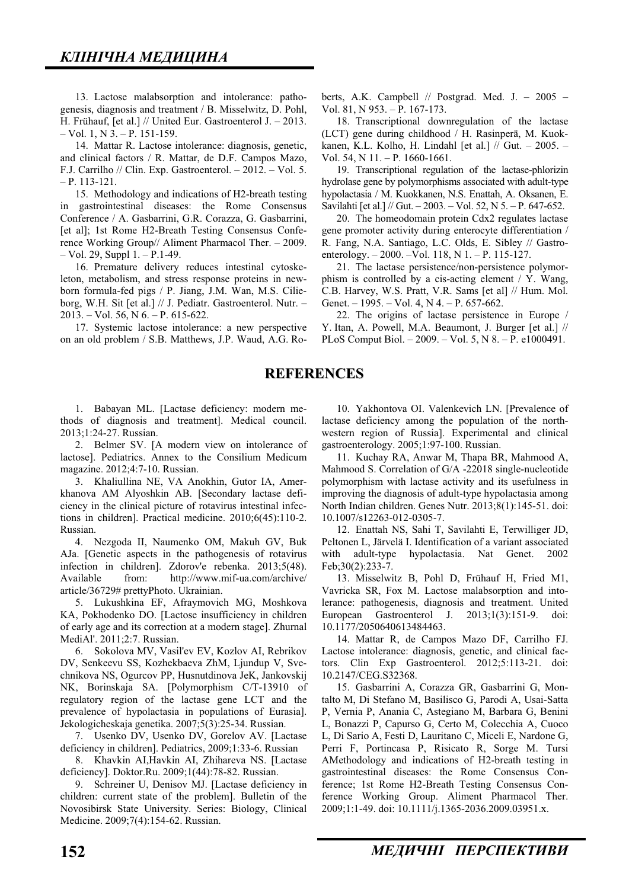13. Lactose malabsorption and intolerance: pathogenesis, diagnosis and treatment / B. Misselwitz, D. Pohl, H. Frühauf, [et al.] // United Eur. Gastroenterol J. – 2013.  $-$  Vol. 1, N  $3. - P.$  151-159.

14. Mattar R. Lactose intolerance: diagnosis, genetic, and clinical factors / R. Mattar, de D.F. Campos Mazo, F.J. Carrilho // Clin. Exp. Gastroenterol. – 2012. – Vol. 5. – P. 113-121.

15. Methodology and indications of H2-breath testing in gastrointestinal diseases: the Rome Consensus Conference / A. Gasbarrini, G.R. Corazza, G. Gasbarrini, [et al]; 1st Rome H2-Breath Testing Consensus Conference Working Group// Aliment Pharmacol Ther. – 2009. – Vol. 29, Suppl 1. – P.1-49.

16. Premature delivery reduces intestinal cytoskeleton, metabolism, and stress response proteins in newborn formula-fed pigs / P. Jiang, J.M. Wan, M.S. Cilieborg, W.H. Sit [et al.] // J. Pediatr. Gastroenterol. Nutr. – 2013. – Vol. 56, N 6. – P. 615-622.

17. Systemic lactose intolerance: a new perspective on an old problem / S.B. Matthews, J.P. Waud, A.G. Roberts, A.K. Campbell // Postgrad. Med. J. – 2005 – Vol. 81, N 953. – P. 167-173.

18. Transcriptional downregulation of the lactase (LCT) gene during childhood / H. Rasinperä, M. Kuokkanen, K.L. Kolho, H. Lindahl [et al.] // Gut. – 2005. – Vol. 54, N 11. – P. 1660-1661.

19. Transcriptional regulation of the lactase-phlorizin hydrolase gene by polymorphisms associated with adult-type hypolactasia / M. Kuokkanen, N.S. Enattah, A. Oksanen, E. Savilahti [et al.] // Gut. – 2003. – Vol. 52, N 5. – P. 647-652.

20. The homeodomain protein Cdx2 regulates lactase gene promoter activity during enterocyte differentiation / R. Fang, N.A. Santiago, L.C. Olds, E. Sibley // Gastroenterology. – 2000. –Vol. 118, N 1. – P. 115-127.

21. The lactase persistence/non-persistence polymorphism is controlled by a cis-acting element / Y. Wang, C.B. Harvey, W.S. Pratt, V.R. Sams [et al] // Hum. Mol. Genet. – 1995. – Vol. 4, N 4. – P. 657-662.

22. The origins of lactase persistence in Europe / Y. Itan, A. Powell, M.A. Beaumont, J. Burger [et al.] // PLoS Comput Biol. – 2009. – Vol. 5, N 8. – P. e1000491.

### **REFERENCES**

1. Babayan ML. [Lactase deficiency: modern methods of diagnosis and treatment]. Medical council. 2013;1:24-27. Russian.

2. Belmer SV. [A modern view on intolerance of lactose]. Pediatrics. Annex to the Consilium Medicum magazine. 2012;4:7-10. Russian.

3. Khaliullina NE, VA Anokhin, Gutor IA, Amerkhanova AM Alyoshkin AB. [Secondary lactase deficiency in the clinical picture of rotavirus intestinal infections in children]. Practical medicine. 2010;6(45):110-2. Russian.

4. Nezgoda II, Naumenko OM, Makuh GV, Buk AJa. [Genetic aspects in the pathogenesis of rotavirus infection in children]. Zdorov'e rebenka. 2013;5(48). Available from: http://www.mif-ua.com/archive/ article/36729# prettyPhoto. Ukrainian.

5. Lukushkina EF, Afraymovich MG, Moshkova KA, Pokhodenko DO. [Lactose insufficiency in children of early age and its correction at a modern stage]. Zhurnal MediAl'. 2011;2:7. Russian.

6. Sokolova MV, Vasil'ev EV, Kozlov AI, Rebrikov DV, Senkeevu SS, Kozhekbaeva ZhM, Ljundup V, Svechnikova NS, Ogurcov PP, Husnutdinova JeK, Jankovskij NK, Borinskaja SA. [Polymorphism C/T-13910 of regulatory region of the lactase gene LCT and the prevalence of hypolactasia in populations of Eurasia]. Jekologicheskaja genetika. 2007;5(3):25-34. Russian.

7. Usenko DV, Usenko DV, Gorelov AV. [Lactase deficiency in children]. Pediatrics, 2009;1:33-6. Russian

8. Khavkin AI,Havkin AI, Zhihareva NS. [Lactase deficiency]. Doktor.Ru. 2009;1(44):78-82. Russian.

9. Schreiner U, Denisov MJ. [Lactase deficiency in children: current state of the problem]. Bulletin of the Novosibirsk State University. Series: Biology, Clinical Medicine. 2009;7(4):154-62. Russian.

10. Yakhontova OI. Valenkevich LN. [Prevalence of lactase deficiency among the population of the northwestern region of Russia]. Experimental and clinical gastroenterology. 2005;1:97-100. Russian.

11. Kuchay RA, Anwar M, Thapa BR, Mahmood A, Mahmood S. Correlation of G/A -22018 single-nucleotide polymorphism with lactase activity and its usefulness in improving the diagnosis of adult-type hypolactasia among North Indian children. Genes Nutr. 2013;8(1):145-51. doi: 10.1007/s12263-012-0305-7.

12. Enattah NS, Sahi T, Savilahti E, Terwilliger JD, Peltonen L, Järvelä I. Identification of a variant associated with adult-type hypolactasia. Nat Genet. 2002 Feb;30(2):233-7.

13. Misselwitz B, Pohl D, Frühauf H, Fried M1, Vavricka SR, Fox M. Lactose malabsorption and intolerance: pathogenesis, diagnosis and treatment. United European Gastroenterol J. 2013;1(3):151-9. doi: 10.1177/2050640613484463.

14. Mattar R, de Campos Mazo DF, Carrilho FJ. Lactose intolerance: diagnosis, genetic, and clinical factors. Clin Exp Gastroenterol. 2012;5:113-21. doi: 10.2147/CEG.S32368.

15. Gasbarrini A, Corazza GR, Gasbarrini G, Montalto M, Di Stefano M, Basilisco G, Parodi A, Usai-Satta P, Vernia P, Anania C, Astegiano M, Barbara G, Benini L, Bonazzi P, Capurso G, Certo M, Colecchia A, Cuoco L, Di Sario A, Festi D, Lauritano C, Miceli E, Nardone G, Perri F, Portincasa P, Risicato R, Sorge M. Tursi AMethodology and indications of H2-breath testing in gastrointestinal diseases: the Rome Consensus Conference; 1st Rome H2-Breath Testing Consensus Conference Working Group. Aliment Pharmacol Ther. 2009;1:1-49. doi: 10.1111/j.1365-2036.2009.03951.x.